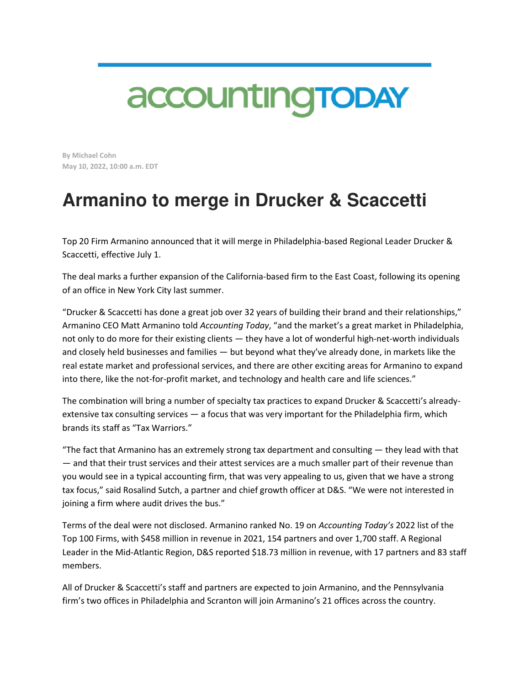## accounting TODAY

**By Michael Cohn May 10, 2022, 10:00 a.m. EDT** 

## **Armanino to merge in Drucker & Scaccetti**

Top 20 Firm Armanino announced that it will merge in Philadelphia-based Regional Leader Drucker & Scaccetti, effective July 1.

The deal marks a further expansion of the California-based firm to the East Coast, following its opening of an office in New York City last summer.

"Drucker & Scaccetti has done a great job over 32 years of building their brand and their relationships," Armanino CEO Matt Armanino told *Accounting Today*, "and the market's a great market in Philadelphia, not only to do more for their existing clients — they have a lot of wonderful high-net-worth individuals and closely held businesses and families — but beyond what they've already done, in markets like the real estate market and professional services, and there are other exciting areas for Armanino to expand into there, like the not-for-profit market, and technology and health care and life sciences."

The combination will bring a number of specialty tax practices to expand Drucker & Scaccetti's alreadyextensive tax consulting services — a focus that was very important for the Philadelphia firm, which brands its staff as "Tax Warriors."

"The fact that Armanino has an extremely strong tax department and consulting  $-$  they lead with that — and that their trust services and their attest services are a much smaller part of their revenue than you would see in a typical accounting firm, that was very appealing to us, given that we have a strong tax focus," said Rosalind Sutch, a partner and chief growth officer at D&S. "We were not interested in joining a firm where audit drives the bus."

Terms of the deal were not disclosed. Armanino ranked No. 19 on *Accounting Today's* 2022 list of the Top 100 Firms, with \$458 million in revenue in 2021, 154 partners and over 1,700 staff. A Regional Leader in the Mid-Atlantic Region, D&S reported \$18.73 million in revenue, with 17 partners and 83 staff members.

All of Drucker & Scaccetti's staff and partners are expected to join Armanino, and the Pennsylvania firm's two offices in Philadelphia and Scranton will join Armanino's 21 offices across the country.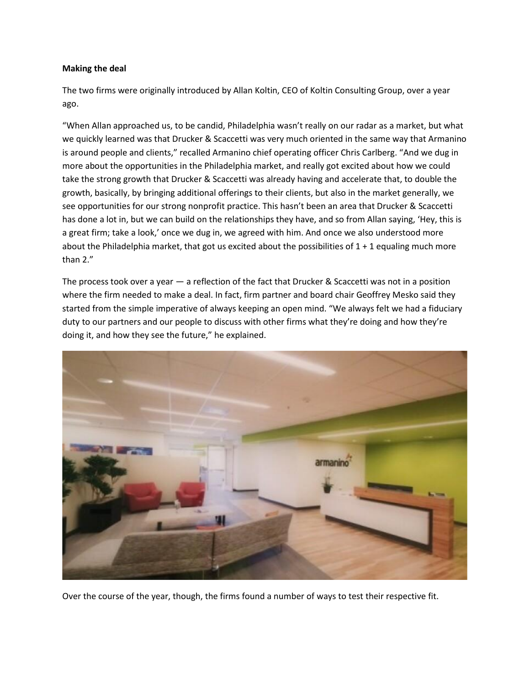## **Making the deal**

The two firms were originally introduced by Allan Koltin, CEO of Koltin Consulting Group, over a year ago.

"When Allan approached us, to be candid, Philadelphia wasn't really on our radar as a market, but what we quickly learned was that Drucker & Scaccetti was very much oriented in the same way that Armanino is around people and clients," recalled Armanino chief operating officer Chris Carlberg. "And we dug in more about the opportunities in the Philadelphia market, and really got excited about how we could take the strong growth that Drucker & Scaccetti was already having and accelerate that, to double the growth, basically, by bringing additional offerings to their clients, but also in the market generally, we see opportunities for our strong nonprofit practice. This hasn't been an area that Drucker & Scaccetti has done a lot in, but we can build on the relationships they have, and so from Allan saying, 'Hey, this is a great firm; take a look,' once we dug in, we agreed with him. And once we also understood more about the Philadelphia market, that got us excited about the possibilities of  $1 + 1$  equaling much more than 2."

The process took over a year — a reflection of the fact that Drucker & Scaccetti was not in a position where the firm needed to make a deal. In fact, firm partner and board chair Geoffrey Mesko said they started from the simple imperative of always keeping an open mind. "We always felt we had a fiduciary duty to our partners and our people to discuss with other firms what they're doing and how they're doing it, and how they see the future," he explained.



Over the course of the year, though, the firms found a number of ways to test their respective fit.